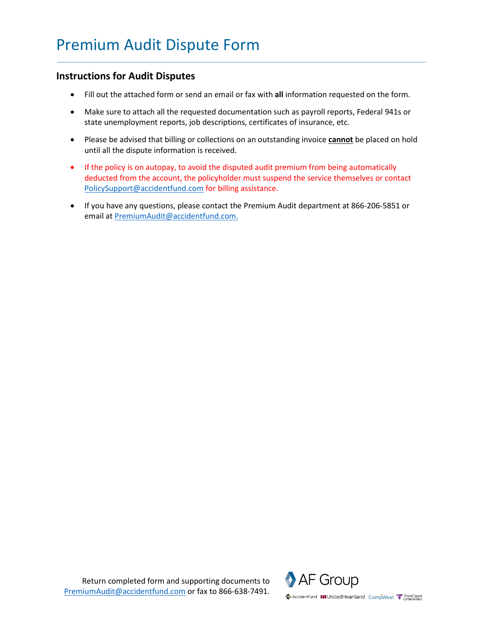## **Instructions for Audit Disputes**

- Fill out the attached form or send an email or fax with **all** information requested on the form.
- Make sure to attach all the requested documentation such as payroll reports, Federal 941s or state unemployment reports, job descriptions, certificates of insurance, etc.
- Please be advised that billing or collections on an outstanding invoice **cannot** be placed on hold until all the dispute information is received.
- If the policy is on autopay, to avoid the disputed audit premium from being automatically deducted from the account, the policyholder must suspend the service themselves or contact [PolicySupport@accidentfund.com](mailto:PolicySupport@accidentfund.com) for billing assistance.
- If you have any questions, please contact the Premium Audit department at 866-206-5851 or email a[t PremiumAudit@accidentfund.com.](mailto:PremiumAudit@accidentfund.com)

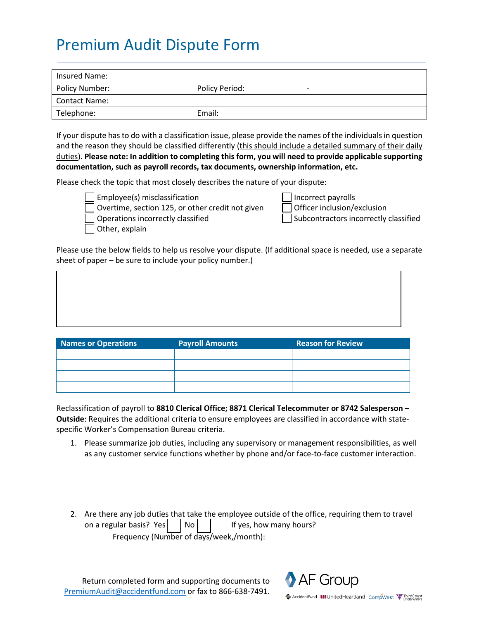## Premium Audit Dispute Form

| Insured Name:        |                |   |
|----------------------|----------------|---|
| Policy Number:       | Policy Period: | - |
| <b>Contact Name:</b> |                |   |
| Telephone:           | Email:         |   |

If your dispute has to do with a classification issue, please provide the names of the individualsin question and the reason they should be classified differently (this should include a detailed summary of their daily duties). **Please note: In addition to completing this form, you will need to provide applicable supporting documentation, such as payroll records, tax documents, ownership information, etc.**

Please check the topic that most closely describes the nature of your dispute:



Employee(s) misclassification Overtime, section 125, or other credit not given  $\Box$  Officer inclusion/exclusion Operations incorrectly classified  $\Box$  Subcontractors incorrectly classified Other, explain

| Incorrect payrolls                          |  |
|---------------------------------------------|--|
| Officer inclusion/exclusi                   |  |
| المتحدث والمتحال والمتحدث والمتحدث والمنادح |  |

Please use the below fields to help us resolve your dispute. (If additional space is needed, use a separate sheet of paper – be sure to include your policy number.)

| <b>Names or Operations</b> | <b>Payroll Amounts</b> | <b>Reason for Review</b> |
|----------------------------|------------------------|--------------------------|
|                            |                        |                          |
|                            |                        |                          |
|                            |                        |                          |
|                            |                        |                          |

Reclassification of payroll to **8810 Clerical Office; 8871 Clerical Telecommuter or 8742 Salesperson – Outside**: Requires the additional criteria to ensure employees are classified in accordance with statespecific Worker's Compensation Bureau criteria.

- 1. Please summarize job duties, including any supervisory or management responsibilities, as well as any customer service functions whether by phone and/or face-to-face customer interaction.
- 2. Are there any job duties that take the employee outside of the office, requiring them to travel on a regular basis? Yes  $\vert$  No  $\vert$   $\vert$  If yes, how many hours? Frequency (Number of days/week,/month):

Return completed form and supporting documents to [PremiumAudit@accidentfund.com](mailto:premiumaudit@accidentfund.com) or fax to 866-638-7491.